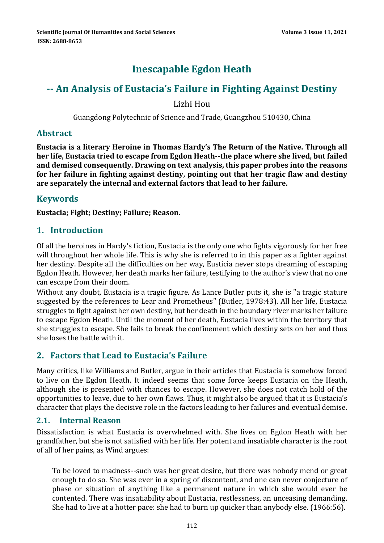# **Inescapable Egdon Heath**

## **‐‐ An Analysis of Eustacia's Failure in Fighting Against Destiny**

Lizhi Hou

Guangdong Polytechnic of Science and Trade, Guangzhou 510430, China

#### **Abstract**

**Eustacia is a literary Heroine in Thomas Hardy's The Return of the Native. Through all her life, Eustacia tried to escape from Egdon Heath‐‐the place where she lived, but failed and demised consequently. Drawing on text analysis, this paper probes into the reasons for her failure in fighting against destiny, pointing out that her tragic flaw and destiny are separately the internal and external factors that lead to her failure.** 

### **Keywords**

**Eustacia; Fight; Destiny; Failure; Reason.**

#### **1. Introduction**

Of all the heroines in Hardy's fiction, Eustacia is the only one who fights vigorously for her free will throughout her whole life. This is why she is referred to in this paper as a fighter against her destiny. Despite all the difficulties on her way, Eusticia never stops dreaming of escaping Egdon Heath. However, her death marks her failure, testifying to the author's view that no one can escape from their doom.

Without any doubt, Eustacia is a tragic figure. As Lance Butler puts it, she is "a tragic stature suggested by the references to Lear and Prometheus" (Butler, 1978:43). All her life, Eustacia struggles to fight against her own destiny, but her death in the boundary river marks her failure to escape Egdon Heath. Until the moment of her death, Eustacia lives within the territory that she struggles to escape. She fails to break the confinement which destiny sets on her and thus she loses the battle with it.

#### **2. Factors that Lead to Eustacia's Failure**

Many critics, like Williams and Butler, argue in their articles that Eustacia is somehow forced to live on the Egdon Heath. It indeed seems that some force keeps Eustacia on the Heath, although she is presented with chances to escape. However, she does not catch hold of the opportunities to leave, due to her own flaws. Thus, it might also be argued that it is Eustacia's character that plays the decisive role in the factors leading to her failures and eventual demise.

#### **2.1. Internal Reason**

Dissatisfaction is what Eustacia is overwhelmed with. She lives on Egdon Heath with her grandfather, but she is not satisfied with her life. Her potent and insatiable character is the root of all of her pains, as Wind argues:

To be loved to madness--such was her great desire, but there was nobody mend or great enough to do so. She was ever in a spring of discontent, and one can never conjecture of phase or situation of anything like a permanent nature in which she would ever be contented. There was insatiability about Eustacia, restlessness, an unceasing demanding. She had to live at a hotter pace: she had to burn up quicker than anybody else. (1966:56).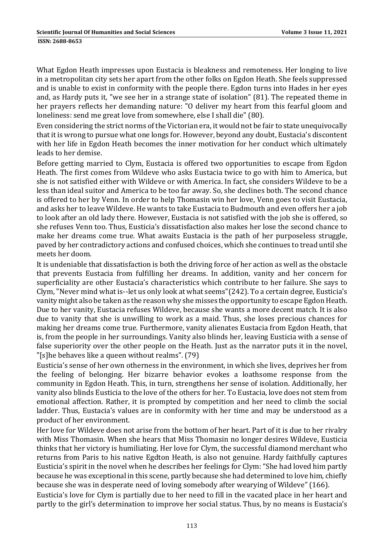What Egdon Heath impresses upon Eustacia is bleakness and remoteness. Her longing to live in a metropolitan city sets her apart from the other folks on Egdon Heath. She feels suppressed and is unable to exist in conformity with the people there. Egdon turns into Hades in her eyes and, as Hardy puts it, "we see her in a strange state of isolation" (81). The repeated theme in her prayers reflects her demanding nature: "O deliver my heart from this fearful gloom and loneliness: send me great love from somewhere, else I shall die" (80).

Even considering the strict norms of the Victorian era, it would not be fair to state unequivocally that it is wrong to pursue what one longs for. However, beyond any doubt, Eustacia's discontent with her life in Egdon Heath becomes the inner motivation for her conduct which ultimately leads to her demise.

Before getting married to Clym, Eustacia is offered two opportunities to escape from Egdon Heath. The first comes from Wildeve who asks Eustacia twice to go with him to America, but she is not satisfied either with Wildeve or with America. In fact, she considers Wildeve to be a less than ideal suitor and America to be too far away. So, she declines both. The second chance is offered to her by Venn. In order to help Thomasin win her love, Venn goes to visit Eustacia, and asks her to leave Wildeve. He wants to take Eustacia to Budmouth and even offers her a job to look after an old lady there. However, Eustacia is not satisfied with the job she is offered, so she refuses Venn too. Thus, Eusticia's dissatisfaction also makes her lose the second chance to make her dreams come true. What awaits Eustacia is the path of her purposeless struggle, paved by her contradictory actions and confused choices, which she continues to tread until she meets her doom.

It is undeniable that dissatisfaction is both the driving force of her action as well as the obstacle that prevents Eustacia from fulfilling her dreams. In addition, vanity and her concern for superficiality are other Eustacia's characteristics which contribute to her failure. She says to Clym, "Never mind what is--let us only look at what seems"(242). To a certain degree, Eusticia's vanity might also be taken as the reason why she misses the opportunity to escape Egdon Heath. Due to her vanity, Eustacia refuses Wildeve, because she wants a more decent match. It is also due to vanity that she is unwilling to work as a maid. Thus, she loses precious chances for making her dreams come true. Furthermore, vanity alienates Eustacia from Egdon Heath, that is, from the people in her surroundings. Vanity also blinds her, leaving Eusticia with a sense of false superiority over the other people on the Heath. Just as the narrator puts it in the novel, "[s]he behaves like a queen without realms".  $(79)$ 

Eusticia's sense of her own otherness in the environment, in which she lives, deprives her from the feeling of belonging. Her bizarre behavior evokes a loathsome response from the community in Egdon Heath. This, in turn, strengthens her sense of isolation. Additionally, her vanity also blinds Eusticia to the love of the others for her. To Eustacia, love does not stem from emotional affection. Rather, it is prompted by competition and her need to climb the social ladder. Thus, Eustacia's values are in conformity with her time and may be understood as a product of her environment.

Her love for Wildeve does not arise from the bottom of her heart. Part of it is due to her rivalry with Miss Thomasin. When she hears that Miss Thomasin no longer desires Wildeve, Eusticia thinks that her victory is humiliating. Her love for Clym, the successful diamond merchant who returns from Paris to his native Egdton Heath, is also not genuine. Hardy faithfully captures Eusticia's spirit in the novel when he describes her feelings for Clym: "She had loved him partly because he was exceptional in this scene, partly because she had determined to love him, chiefly because she was in desperate need of loving somebody after wearying of Wildeve" (166).

Eusticia's love for Clym is partially due to her need to fill in the vacated place in her heart and partly to the girl's determination to improve her social status. Thus, by no means is Eustacia's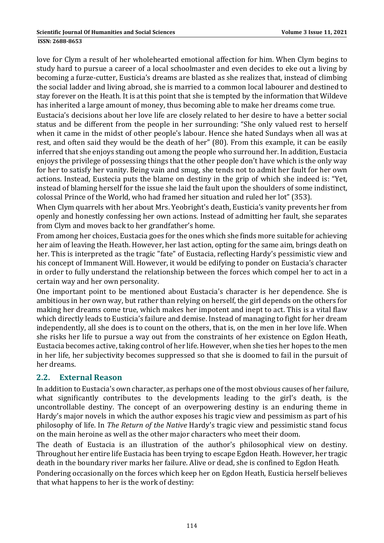#### **ISSN: 2688-8653**

love for Clym a result of her wholehearted emotional affection for him. When Clym begins to study hard to pursue a career of a local schoolmaster and even decides to eke out a living by becoming a furze-cutter, Eusticia's dreams are blasted as she realizes that, instead of climbing the social ladder and living abroad, she is married to a common local labourer and destined to stay forever on the Heath. It is at this point that she is tempted by the information that Wildeve has inherited a large amount of money, thus becoming able to make her dreams come true.

Eustacia's decisions about her love life are closely related to her desire to have a better social status and be different from the people in her surrounding: "She only valued rest to herself when it came in the midst of other people's labour. Hence she hated Sundays when all was at rest, and often said they would be the death of her" (80). From this example, it can be easily inferred that she enjoys standing out among the people who surround her. In addition, Eustacia enjoys the privilege of possessing things that the other people don't have which is the only way for her to satisfy her vanity. Being vain and smug, she tends not to admit her fault for her own actions. Instead, Eustecia puts the blame on destiny in the grip of which she indeed is: "Yet, instead of blaming herself for the issue she laid the fault upon the shoulders of some indistinct, colossal Prince of the World, who had framed her situation and ruled her lot" (353).

When Clym quarrels with her about Mrs. Yeobright's death, Eusticia's vanity prevents her from openly and honestly confessing her own actions. Instead of admitting her fault, she separates from Clym and moves back to her grandfather's home.

From among her choices, Eustacia goes for the ones which she finds more suitable for achieving her aim of leaving the Heath. However, her last action, opting for the same aim, brings death on her. This is interpreted as the tragic "fate" of Eustacia, reflecting Hardy's pessimistic view and his concept of Immanent Will. However, it would be edifying to ponder on Eustacia's character in order to fully understand the relationship between the forces which compel her to act in a certain way and her own personality.

One important point to be mentioned about Eustacia's character is her dependence. She is ambitious in her own way, but rather than relying on herself, the girl depends on the others for making her dreams come true, which makes her impotent and inept to act. This is a vital flaw which directly leads to Eusticia's failure and demise. Instead of managing to fight for her dream independently, all she does is to count on the others, that is, on the men in her love life. When she risks her life to pursue a way out from the constraints of her existence on Egdon Heath, Eustacia becomes active, taking control of her life. However, when she ties her hopes to the men in her life, her subjectivity becomes suppressed so that she is doomed to fail in the pursuit of her dreams.

#### **2.2. External Reason**

In addition to Eustacia's own character, as perhaps one of the most obvious causes of her failure, what significantly contributes to the developments leading to the girl's death, is the uncontrollable destiny. The concept of an overpowering destiny is an enduring theme in Hardy's major novels in which the author exposes his tragic view and pessimism as part of his philosophy of life. In *The Return of the Native* Hardy's tragic view and pessimistic stand focus on the main heroine as well as the other major characters who meet their doom.

The death of Eustacia is an illustration of the author's philosophical view on destiny. Throughout her entire life Eustacia has been trying to escape Egdon Heath. However, her tragic death in the boundary river marks her failure. Alive or dead, she is confined to Egdon Heath.

Pondering occasionally on the forces which keep her on Egdon Heath, Eusticia herself believes that what happens to her is the work of destiny: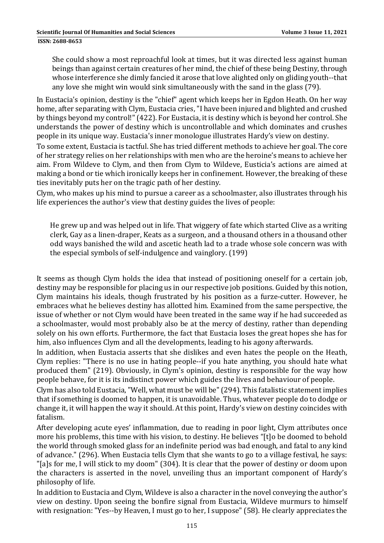She could show a most reproachful look at times, but it was directed less against human beings than against certain creatures of her mind, the chief of these being Destiny, through whose interference she dimly fancied it arose that love alighted only on gliding youth--that any love she might win would sink simultaneously with the sand in the glass (79).

In Eustacia's opinion, destiny is the "chief" agent which keeps her in Egdon Heath. On her way home, after separating with Clym, Eustacia cries, "I have been injured and blighted and crushed by things beyond my control!" (422). For Eustacia, it is destiny which is beyond her control. She understands the power of destiny which is uncontrollable and which dominates and crushes people in its unique way. Eustacia's inner monologue illustrates Hardy's view on destiny.

To some extent, Eustacia is tactful. She has tried different methods to achieve her goal. The core of her strategy relies on her relationships with men who are the heroine's means to achieve her aim. From Wildeve to Clym, and then from Clym to Wildeve, Eusticia's actions are aimed at making a bond or tie which ironically keeps her in confinement. However, the breaking of these ties inevitably puts her on the tragic path of her destiny.

Clym, who makes up his mind to pursue a career as a schoolmaster, also illustrates through his life experiences the author's view that destiny guides the lives of people:

He grew up and was helped out in life. That wiggery of fate which started Clive as a writing clerk, Gay as a linen-draper, Keats as a surgeon, and a thousand others in a thousand other odd ways banished the wild and ascetic heath lad to a trade whose sole concern was with the especial symbols of self-indulgence and vainglory.  $(199)$ 

It seems as though Clym holds the idea that instead of positioning oneself for a certain job, destiny may be responsible for placing us in our respective job positions. Guided by this notion, Clym maintains his ideals, though frustrated by his position as a furze-cutter. However, he embraces what he believes destiny has allotted him. Examined from the same perspective, the issue of whether or not Clym would have been treated in the same way if he had succeeded as a schoolmaster, would most probably also be at the mercy of destiny, rather than depending solely on his own efforts. Furthermore, the fact that Eustacia loses the great hopes she has for him, also influences Clym and all the developments, leading to his agony afterwards.

In addition, when Eustacia asserts that she dislikes and even hates the people on the Heath, Clym replies: "There is no use in hating people--if you hate anything, you should hate what produced them" (219). Obviously, in Clym's opinion, destiny is responsible for the way how people behave, for it is its indistinct power which guides the lives and behaviour of people.

Clym has also told Eustacia, "Well, what must be will be" (294). This fatalistic statement implies that if something is doomed to happen, it is unavoidable. Thus, whatever people do to dodge or change it, it will happen the way it should. At this point, Hardy's view on destiny coincides with fatalism. 

After developing acute eyes' inflammation, due to reading in poor light, Clym attributes once more his problems, this time with his vision, to destiny. He believes "[t]o be doomed to behold the world through smoked glass for an indefinite period was bad enough, and fatal to any kind of advance." (296). When Eustacia tells Clym that she wants to go to a village festival, he says: "[a]s for me, I will stick to my doom"  $(304)$ . It is clear that the power of destiny or doom upon the characters is asserted in the novel, unveiling thus an important component of Hardy's philosophy of life.

In addition to Eustacia and Clym, Wildeve is also a character in the novel conveying the author's view on destiny. Upon seeing the bonfire signal from Eustacia, Wildeve murmurs to himself with resignation: "Yes--by Heaven, I must go to her, I suppose" (58). He clearly appreciates the